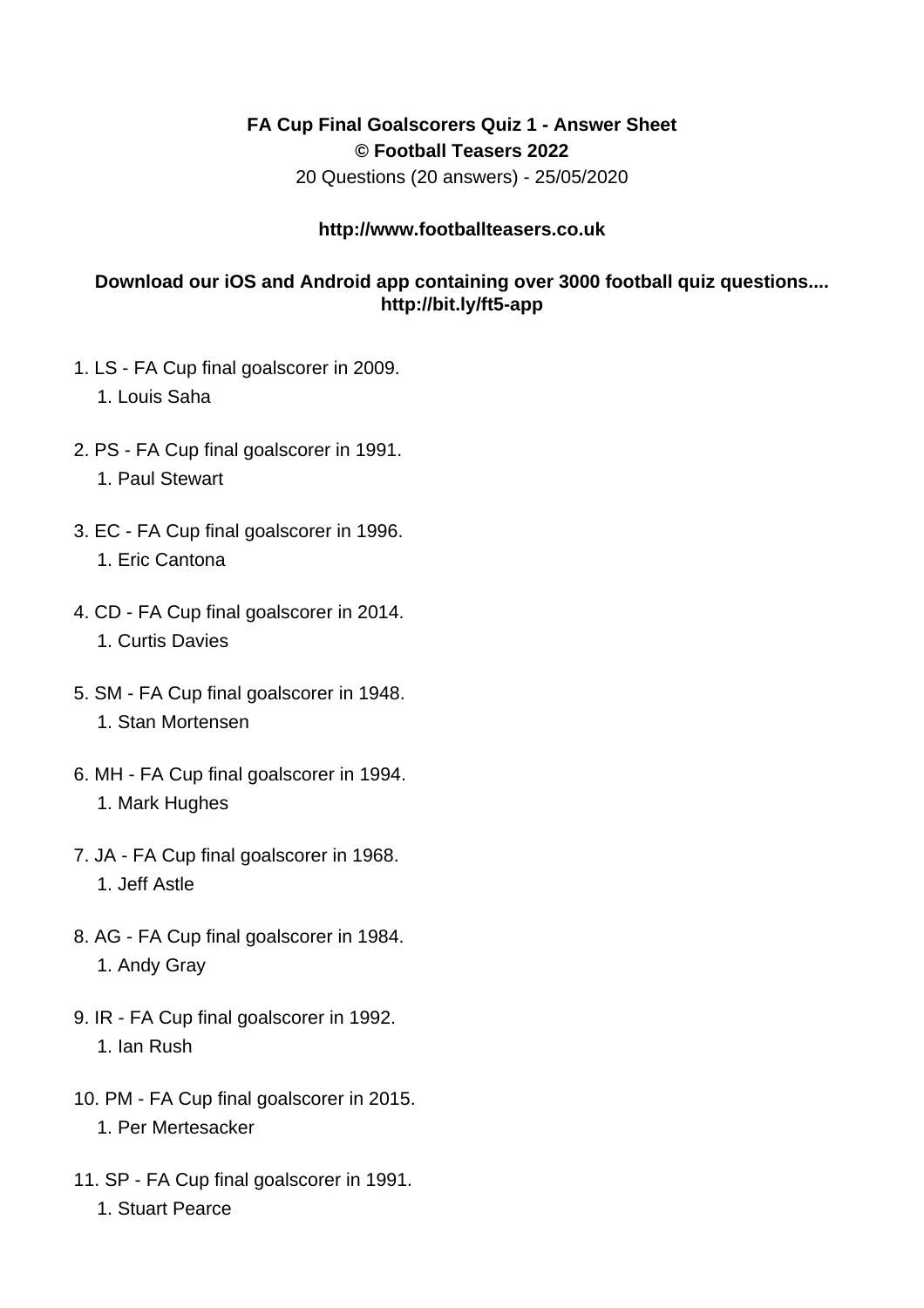## **FA Cup Final Goalscorers Quiz 1 - Answer Sheet © Football Teasers 2022**

20 Questions (20 answers) - 25/05/2020

## **http://www.footballteasers.co.uk**

## **Download our iOS and Android app containing over 3000 football quiz questions.... http://bit.ly/ft5-app**

- 1. LS FA Cup final goalscorer in 2009.
	- 1. Louis Saha
- 2. PS FA Cup final goalscorer in 1991. 1. Paul Stewart
- 3. EC FA Cup final goalscorer in 1996. 1. Eric Cantona
- 4. CD FA Cup final goalscorer in 2014. 1. Curtis Davies
- 5. SM FA Cup final goalscorer in 1948. 1. Stan Mortensen
- 6. MH FA Cup final goalscorer in 1994. 1. Mark Hughes
- 7. JA FA Cup final goalscorer in 1968. 1. Jeff Astle
- 8. AG FA Cup final goalscorer in 1984. 1. Andy Gray
- 9. IR FA Cup final goalscorer in 1992. 1. Ian Rush
- 10. PM FA Cup final goalscorer in 2015. 1. Per Mertesacker
- 11. SP FA Cup final goalscorer in 1991.
	- 1. Stuart Pearce